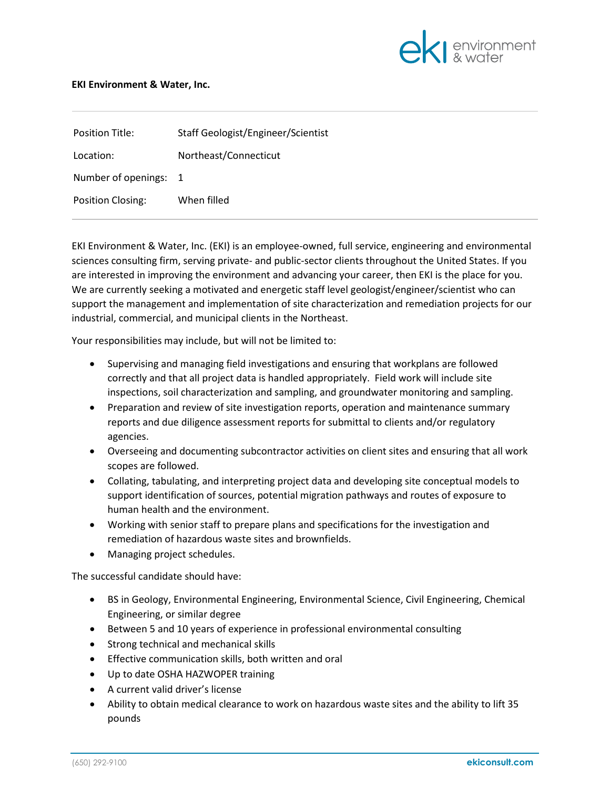

## **EKI Environment & Water, Inc.**

| Position Title:       | Staff Geologist/Engineer/Scientist |
|-----------------------|------------------------------------|
| Location:             | Northeast/Connecticut              |
| Number of openings: 1 |                                    |
| Position Closing:     | When filled                        |

EKI Environment & Water, Inc. (EKI) is an employee-owned, full service, engineering and environmental sciences consulting firm, serving private- and public-sector clients throughout the United States. If you are interested in improving the environment and advancing your career, then EKI is the place for you. We are currently seeking a motivated and energetic staff level geologist/engineer/scientist who can support the management and implementation of site characterization and remediation projects for our industrial, commercial, and municipal clients in the Northeast.

Your responsibilities may include, but will not be limited to:

- Supervising and managing field investigations and ensuring that workplans are followed correctly and that all project data is handled appropriately. Field work will include site inspections, soil characterization and sampling, and groundwater monitoring and sampling.
- Preparation and review of site investigation reports, operation and maintenance summary reports and due diligence assessment reports for submittal to clients and/or regulatory agencies.
- Overseeing and documenting subcontractor activities on client sites and ensuring that all work scopes are followed.
- Collating, tabulating, and interpreting project data and developing site conceptual models to support identification of sources, potential migration pathways and routes of exposure to human health and the environment.
- Working with senior staff to prepare plans and specifications for the investigation and remediation of hazardous waste sites and brownfields.
- Managing project schedules.

The successful candidate should have:

- BS in Geology, Environmental Engineering, Environmental Science, Civil Engineering, Chemical Engineering, or similar degree
- Between 5 and 10 years of experience in professional environmental consulting
- Strong technical and mechanical skills
- Effective communication skills, both written and oral
- Up to date OSHA HAZWOPER training
- A current valid driver's license
- Ability to obtain medical clearance to work on hazardous waste sites and the ability to lift 35 pounds